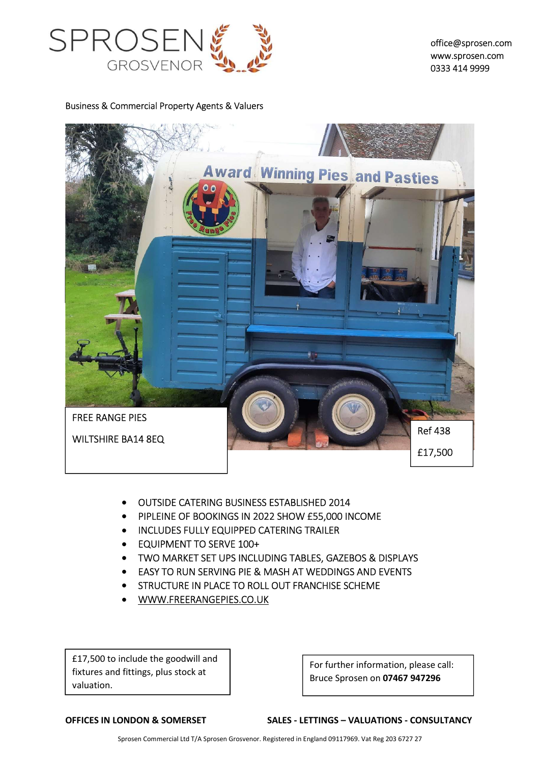

office@sprosen.com www.sprosen.com 0333 414 9999

Business & Commercial Property Agents & Valuers



- OUTSIDE CATERING BUSINESS ESTABLISHED 2014
- PIPLEINE OF BOOKINGS IN 2022 SHOW £55,000 INCOME
- **INCLUDES FULLY EQUIPPED CATERING TRAILER**
- **EQUIPMENT TO SERVE 100+**
- TWO MARKET SET UPS INCLUDING TABLES, GAZEBOS & DISPLAYS
- EASY TO RUN SERVING PIE & MASH AT WEDDINGS AND EVENTS
- **STRUCTURE IN PLACE TO ROLL OUT FRANCHISE SCHEME**
- WWW.FREERANGEPIES.CO.UK

£17,500 to include the goodwill and fixtures and fittings, plus stock at valuation.

For further information, please call: Bruce Sprosen on 07467 947296

OFFICES IN LONDON & SOMERSET SALES - LETTINGS – VALUATIONS - CONSULTANCY